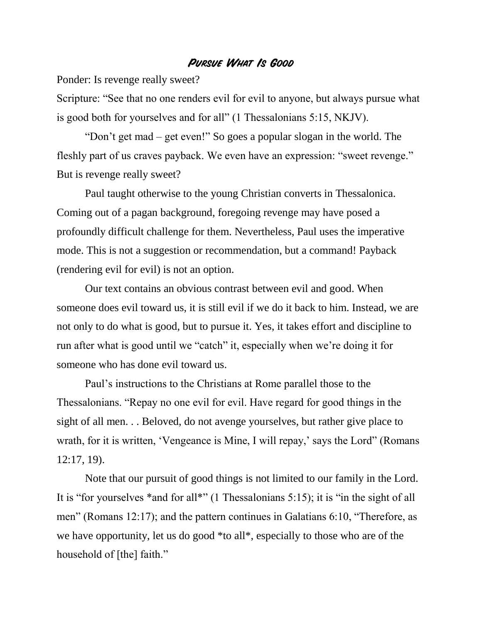## **Pursue What Is Good**

Ponder: Is revenge really sweet?

Scripture: "See that no one renders evil for evil to anyone, but always pursue what is good both for yourselves and for all" (1 Thessalonians 5:15, NKJV).

"Don't get mad – get even!" So goes a popular slogan in the world. The fleshly part of us craves payback. We even have an expression: "sweet revenge." But is revenge really sweet?

Paul taught otherwise to the young Christian converts in Thessalonica. Coming out of a pagan background, foregoing revenge may have posed a profoundly difficult challenge for them. Nevertheless, Paul uses the imperative mode. This is not a suggestion or recommendation, but a command! Payback (rendering evil for evil) is not an option.

Our text contains an obvious contrast between evil and good. When someone does evil toward us, it is still evil if we do it back to him. Instead, we are not only to do what is good, but to pursue it. Yes, it takes effort and discipline to run after what is good until we "catch" it, especially when we're doing it for someone who has done evil toward us.

Paul's instructions to the Christians at Rome parallel those to the Thessalonians. "Repay no one evil for evil. Have regard for good things in the sight of all men. . . Beloved, do not avenge yourselves, but rather give place to wrath, for it is written, 'Vengeance is Mine, I will repay,' says the Lord'' (Romans 12:17, 19).

Note that our pursuit of good things is not limited to our family in the Lord. It is "for yourselves \*and for all\*" (1 Thessalonians 5:15); it is "in the sight of all men" (Romans 12:17); and the pattern continues in Galatians 6:10, "Therefore, as we have opportunity, let us do good \*to all\*, especially to those who are of the household of [the] faith."